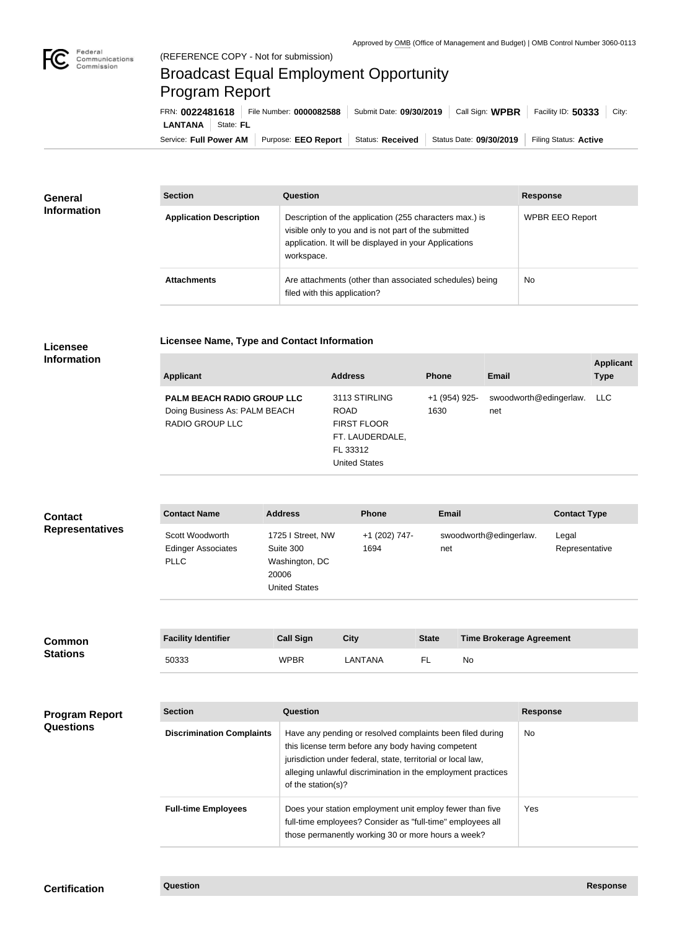

## Broadcast Equal Employment Opportunity Program Report

**Licensee Name, Type and Contact Information**

Service: Full Power AM | Purpose: EEO Report | Status: Received | Status Date: 09/30/2019 | Filing Status: Active **LANTANA** State: FL FRN: **0022481618** File Number: **0000082588** Submit Date: **09/30/2019** Call Sign: **WPBR** Facility ID: **50333** City:

| <b>General</b><br><b>Information</b> | <b>Section</b>                 | <b>Question</b>                                                                                                                                                                         | <b>Response</b>        |
|--------------------------------------|--------------------------------|-----------------------------------------------------------------------------------------------------------------------------------------------------------------------------------------|------------------------|
|                                      | <b>Application Description</b> | Description of the application (255 characters max.) is<br>visible only to you and is not part of the submitted<br>application. It will be displayed in your Applications<br>workspace. | <b>WPBR EEO Report</b> |
|                                      | <b>Attachments</b>             | Are attachments (other than associated schedules) being<br>filed with this application?                                                                                                 | No.                    |

## **Licensee Information**

| <b>Applicant</b>                                                                             | <b>Address</b>                                                                                            | <b>Phone</b>          | Email                         | <b>Applicant</b><br><b>Type</b> |
|----------------------------------------------------------------------------------------------|-----------------------------------------------------------------------------------------------------------|-----------------------|-------------------------------|---------------------------------|
| <b>PALM BEACH RADIO GROUP LLC</b><br>Doing Business As: PALM BEACH<br><b>RADIO GROUP LLC</b> | 3113 STIRLING<br><b>ROAD</b><br><b>FIRST FLOOR</b><br>FT. LAUDERDALE,<br>FL 33312<br><b>United States</b> | +1 (954) 925-<br>1630 | swoodworth@edingerlaw.<br>net | LLC                             |
|                                                                                              |                                                                                                           |                       |                               |                                 |

| <b>Contact</b><br><b>Representatives</b> | <b>Contact Name</b>                                                                                  | <b>Address</b>                                                                    | <b>Phone</b>          | <b>Email</b> |                                 | <b>Contact Type</b>     |
|------------------------------------------|------------------------------------------------------------------------------------------------------|-----------------------------------------------------------------------------------|-----------------------|--------------|---------------------------------|-------------------------|
|                                          | Scott Woodworth<br><b>Edinger Associates</b><br><b>PLLC</b>                                          | 1725 I Street, NW<br>Suite 300<br>Washington, DC<br>20006<br><b>United States</b> | +1 (202) 747-<br>1694 | net          | swoodworth@edingerlaw.          | Legal<br>Representative |
| <b>Common</b>                            | <b>Facility Identifier</b>                                                                           | <b>Call Sign</b>                                                                  | <b>City</b>           | <b>State</b> | <b>Time Brokerage Agreement</b> |                         |
| <b>Stations</b>                          | 50333                                                                                                | <b>WPBR</b>                                                                       | LANTANA               | FL.          | No                              |                         |
|                                          |                                                                                                      |                                                                                   |                       |              |                                 |                         |
| <b>Program Report</b>                    | <b>Section</b>                                                                                       | Question                                                                          |                       |              |                                 | <b>Response</b>         |
| <b>Questions</b>                         | na control de la constitución de la filma estado de distribución de la catalana de la califica de de |                                                                                   |                       |              | $\mathbf{A}$                    |                         |

| <b>Section</b>                   | Question                                                                                                                                                                                                                                                              | <b>Response</b> |
|----------------------------------|-----------------------------------------------------------------------------------------------------------------------------------------------------------------------------------------------------------------------------------------------------------------------|-----------------|
| <b>Discrimination Complaints</b> | Have any pending or resolved complaints been filed during<br>this license term before any body having competent<br>jurisdiction under federal, state, territorial or local law,<br>alleging unlawful discrimination in the employment practices<br>of the station(s)? | No.             |
| <b>Full-time Employees</b>       | Does your station employment unit employ fewer than five<br>full-time employees? Consider as "full-time" employees all<br>those permanently working 30 or more hours a week?                                                                                          | Yes             |